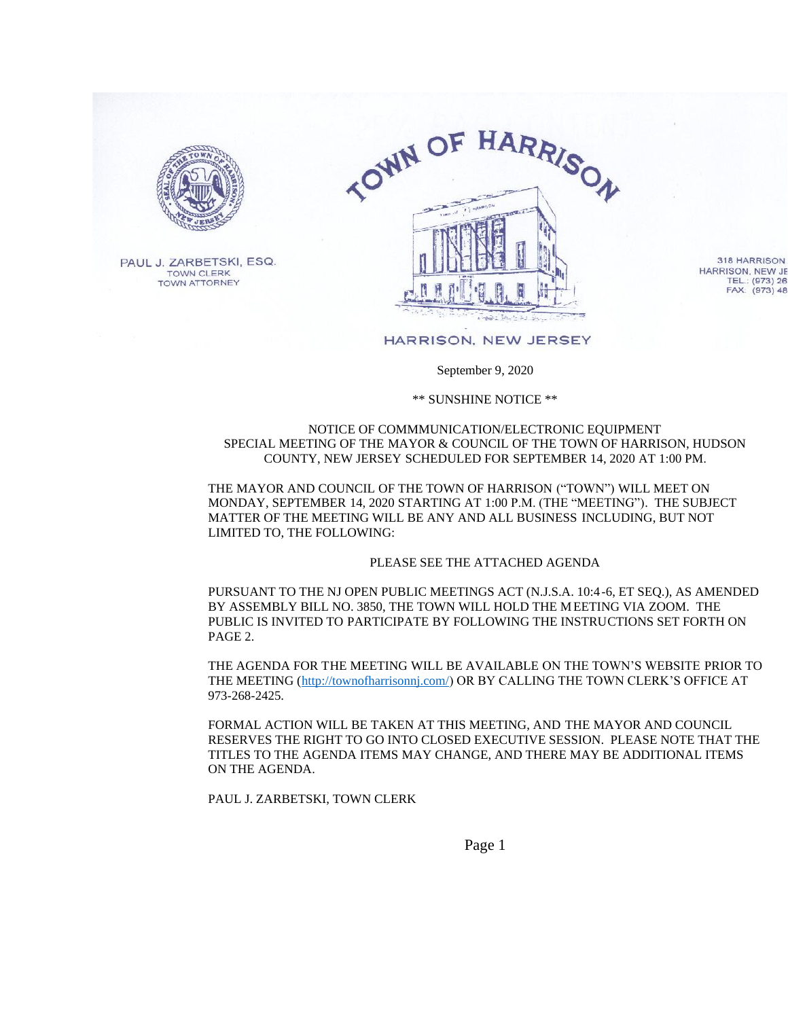

PAUL J. ZARBETSKI, ESQ. **TOWN CLERK TOWN ATTORNEY** 



318 HARRISON HARRISON, NEW JE TEL.: (973) 26<br>FAX: (973) 48

## HARRISON, NEW JERSEY

## September 9, 2020

\*\* SUNSHINE NOTICE \*\*

## NOTICE OF COMMMUNICATION/ELECTRONIC EQUIPMENT SPECIAL MEETING OF THE MAYOR & COUNCIL OF THE TOWN OF HARRISON, HUDSON COUNTY, NEW JERSEY SCHEDULED FOR SEPTEMBER 14, 2020 AT 1:00 PM.

THE MAYOR AND COUNCIL OF THE TOWN OF HARRISON ("TOWN") WILL MEET ON MONDAY, SEPTEMBER 14, 2020 STARTING AT 1:00 P.M. (THE "MEETING"). THE SUBJECT MATTER OF THE MEETING WILL BE ANY AND ALL BUSINESS INCLUDING, BUT NOT LIMITED TO, THE FOLLOWING:

## PLEASE SEE THE ATTACHED AGENDA

PURSUANT TO THE NJ OPEN PUBLIC MEETINGS ACT (N.J.S.A. 10:4-6, ET SEQ.), AS AMENDED BY ASSEMBLY BILL NO. 3850, THE TOWN WILL HOLD THE MEETING VIA ZOOM. THE PUBLIC IS INVITED TO PARTICIPATE BY FOLLOWING THE INSTRUCTIONS SET FORTH ON PAGE 2.

THE AGENDA FOR THE MEETING WILL BE AVAILABLE ON THE TOWN'S WEBSITE PRIOR TO THE MEETING (http://townofharrisonnj.com/) OR BY CALLING THE TOWN CLERK'S OFFICE AT 973-268-2425.

FORMAL ACTION WILL BE TAKEN AT THIS MEETING, AND THE MAYOR AND COUNCIL RESERVES THE RIGHT TO GO INTO CLOSED EXECUTIVE SESSION. PLEASE NOTE THAT THE TITLES TO THE AGENDA ITEMS MAY CHANGE. AND THERE MAY BE ADDITIONAL ITEMS ON THE AGENDA.

PAUL J. ZARBETSKI, TOWN CLERK

Page 1